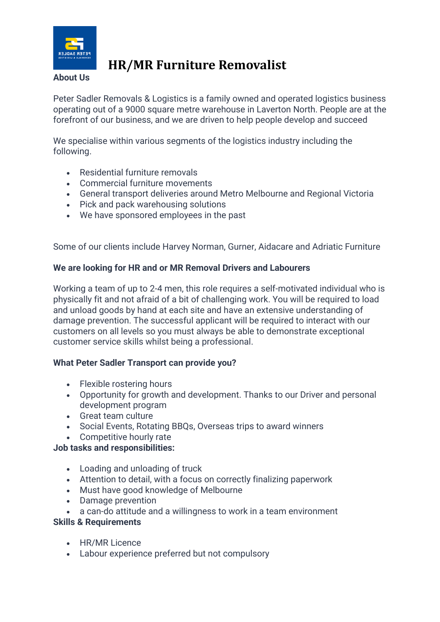

# **HR/MR Furniture Removalist**

## **About Us**

Peter Sadler Removals & Logistics is a family owned and operated logistics business operating out of a 9000 square metre warehouse in Laverton North. People are at the forefront of our business, and we are driven to help people develop and succeed

We specialise within various segments of the logistics industry including the following.

- Residential furniture removals
- Commercial furniture movements
- General transport deliveries around Metro Melbourne and Regional Victoria
- Pick and pack warehousing solutions
- We have sponsored employees in the past

Some of our clients include Harvey Norman, Gurner, Aidacare and Adriatic Furniture

#### **We are looking for HR and or MR Removal Drivers and Labourers**

Working a team of up to 2-4 men, this role requires a self-motivated individual who is physically fit and not afraid of a bit of challenging work. You will be required to load and unload goods by hand at each site and have an extensive understanding of damage prevention. The successful applicant will be required to interact with our customers on all levels so you must always be able to demonstrate exceptional customer service skills whilst being a professional.

#### **What Peter Sadler Transport can provide you?**

- Flexible rostering hours
- Opportunity for growth and development. Thanks to our Driver and personal development program
- Great team culture
- Social Events, Rotating BBQs, Overseas trips to award winners
- Competitive hourly rate

#### **Job tasks and responsibilities:**

- Loading and unloading of truck
- Attention to detail, with a focus on correctly finalizing paperwork
- Must have good knowledge of Melbourne
- Damage prevention
- a can-do attitude and a willingness to work in a team environment

#### **Skills & Requirements**

- HR/MR Licence
- Labour experience preferred but not compulsory